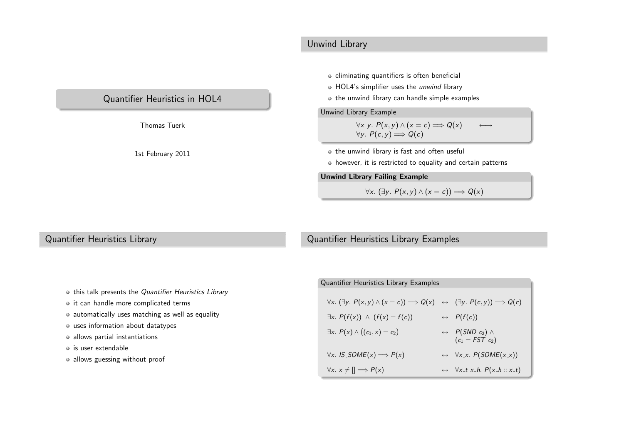### Unwind Library

## Quantifier Heuristics in HOL4

Thomas Tuerk

1st February <sup>2011</sup>

#### eliminating quantifiers is often beneficial

- HOL4's simplifier uses the *unwind* library
- $\bullet$  the unwind library can handle simple examples

#### Unwind Library Example

$$
\forall x \ y. P(x,y) \land (x = c) \Longrightarrow Q(x) \longleftrightarrow
$$
  

$$
\forall y. P(c,y) \Longrightarrow Q(c)
$$

 $\bullet$  the unwind library is fast and often useful

however, it is restricted to equality and certain patterns

Unwind Library Failing Example

 $\forall x. (\exists y. P(x,y) \land (x = c)) \Longrightarrow Q(x)$ 

### Quantifier Heuristics Library

### Quantifier Heuristics Library Examples

- this talk presents the Quantifier Heuristics Library
- it can handle more complicated terms
- automatically uses matching as well as equality
- uses information about datatypes
- allows partial instantiations
- is user extendable
- allows guessing without proof

| <b>Quantifier Heuristics Library Examples</b>                                                                                |  |                                                                       |  |  |
|------------------------------------------------------------------------------------------------------------------------------|--|-----------------------------------------------------------------------|--|--|
| $\forall x. (\exists y. P(x,y) \land (x = c)) \Longrightarrow Q(x) \leftrightarrow (\exists y. P(c,y)) \Longrightarrow Q(c)$ |  |                                                                       |  |  |
| $\exists x. P(f(x)) \wedge (f(x) = f(c))$                                                                                    |  | $\leftrightarrow$ $P(f(c))$                                           |  |  |
| $\exists x. P(x) \land ((c_1, x) = c_2)$                                                                                     |  | $\leftrightarrow$ P(SND c <sub>2</sub> ) $\land$<br>$(c_1 = FST c_2)$ |  |  |
| $\forall x.$ IS_SOME(x) $\Longrightarrow P(x)$                                                                               |  | $\leftrightarrow \forall x \cdot x$ . $P(SOME(x \cdot x))$            |  |  |
| $\forall x. x \neq \mathbb{I} \Longrightarrow P(x)$                                                                          |  | $\leftrightarrow \forall x_{-}t x_{-}h. P(x_{-}h::x_{-}t)$            |  |  |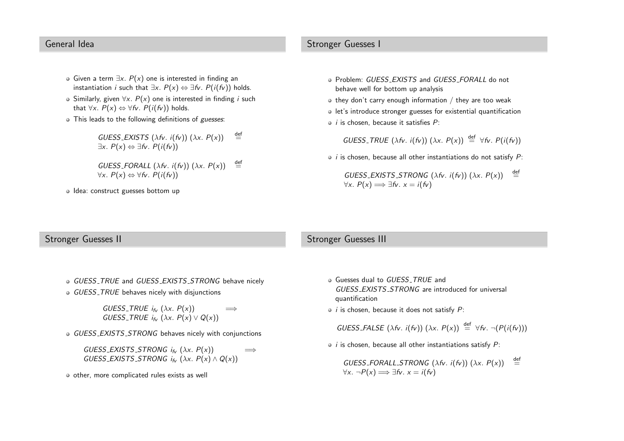#### General Idea

Stronger Guesses <sup>I</sup>

- Given a term ∃x.  $P(x)$  one is interested in finding an instantiation *i* such that  $\exists x. P(x) \Leftrightarrow \exists fv. P(i(fv))$  holds.
- Similarly, given  $\forall x.$   $P(x)$  one is interested in finding *i* such that  $\forall x. P(x) \Leftrightarrow \forall fv. P(i(fv))$  holds.
- This leads to the following definitions of guesses:
	- $GUESS$  EXISTS  $(\lambda f \nu. i(f \nu)) (\lambda x. P(x))$  def ∃x.  $P(x) \Leftrightarrow \exists fv. P(i(fv))$
	- $GUESS$  FORALL  $(\lambda f_v, i(f_v))$   $(\lambda x. P(x))$  def  $\forall x. P(x) \Leftrightarrow \forall f v. P(i(fv))$
- Idea: construct guesses bottom up
- Problem: *GUESS\_EXISTS* and *GUESS\_FORALL* do not behave well for bottom up analysis
- $\bullet$  they don't carry enough information / they are too weak
- let's introduce stronger guesses for existential quantification
- $i$  is chosen, because it satisfies  $P$ :

GUESS\_TRUE  $(\lambda f_v. i(f_v)) (\lambda x. P(x)) \stackrel{\text{def}}{=} \forall f_v. P(i(f_v))$ 

- *i* is chosen, because all other instantiations do not satisfy  $P$ :
	- $GUESS$  EXISTS STRONG (λfv. i(fv)) (λx.  $P(x)$ )  $\stackrel{\text{def}}{=}$  $\forall x. P(x) \Longrightarrow \exists f v. x = i(fv)$

#### Stronger Guesses II

#### Stronger Guesses III

- GUESS\_TRUE and GUESS\_EXISTS\_STRONG behave nicely
- GUESS TRUE behaves nicely with disjunctions
	- $GUESS\_TRUE$  i<sub>fv</sub>  $(\lambda x. P(x))$   $\implies$ GUESS\_TRUE  $i_{f_V}(\lambda x. P(x) \vee Q(x))$
- GUESS EXISTS STRONG behaves nicely with conjunctions
	- $GUESS$  EXISTS STRONG  $i_{f_V}(\lambda x. P(x)) \implies$ GUESS\_EXISTS\_STRONG  $i_{f_V}(\lambda x. P(x) \wedge Q(x))$
- $\bullet$  other, more complicated rules exists as well
- Guesses dual to *GUESS<sub>-</sub>TRUE* and GUESS\_EXISTS\_STRONG are introduced for universal quantification
- $i$  is chosen, because it does not satisfy  $P$ :

GUESS\_FALSE  $(\lambda f_v. i(f_v)) (\lambda x. P(x)) \stackrel{\text{def}}{=} \forall f_v. \neg (P(i(f_v)))$ 

 $i$  is chosen, because all other instantiations satisfy  $P$ :

 $GUESS\_FORALL\_STRONG (\lambda \hat{r} \cdot i(\hat{r} \cdot \hat{r})) (\lambda x. P(x)) =$  $\forall x. \neg P(x) \Longrightarrow \exists fv. x = i(fv)$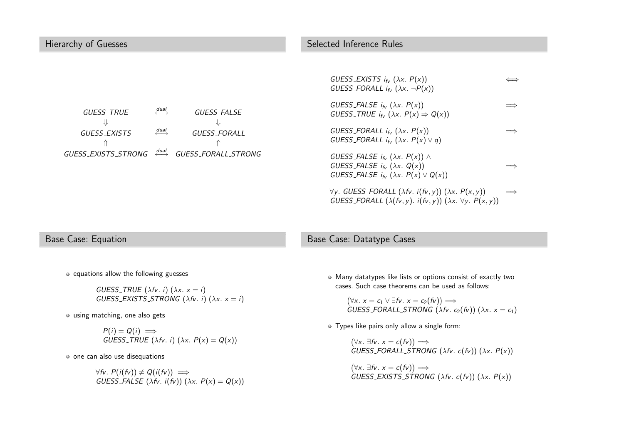| Hierarchy of Guesses                                                                                                                                                                                              | Selected Inference Rules                                                                                                                                                                                                                                                                                                                                                                                                                                                                                                                                                                                                                                                     |
|-------------------------------------------------------------------------------------------------------------------------------------------------------------------------------------------------------------------|------------------------------------------------------------------------------------------------------------------------------------------------------------------------------------------------------------------------------------------------------------------------------------------------------------------------------------------------------------------------------------------------------------------------------------------------------------------------------------------------------------------------------------------------------------------------------------------------------------------------------------------------------------------------------|
| $\overset{dual}{\longleftrightarrow}$<br>GUESS_FALSE<br><b>GUESS_TRUE</b><br>$\xrightarrow{dual}$<br>GUESS_EXISTS<br><b>GUESS_FORALL</b><br>$\overrightarrow{dual}$<br>GUESS_EXISTS_STRONG<br>GUESS_FORALL_STRONG | GUESS_EXISTS $i_{f_V}$ ( $\lambda x$ . $P(x)$ )<br>$\iff$<br>GUESS_FORALL $i_{f_V}$ ( $\lambda x. \neg P(x)$ )<br>GUESS_FALSE $i_{f_V}$ ( $\lambda x$ . $P(x)$ )<br>GUESS_TRUE $i_{fv}$ ( $\lambda x$ . $P(x) \Rightarrow Q(x)$ )<br>GUESS_FORALL $i_{f_V}$ ( $\lambda x$ . $P(x)$ )<br>GUESS_FORALL $i_{f_V}$ ( $\lambda x$ . $P(x) \vee q$ )<br>GUESS_FALSE $i_{f_V}$ ( $\lambda x$ . $P(x)$ ) $\wedge$<br>GUESS_FALSE $i_{f_v}$ ( $\lambda x$ . Q(x))<br>GUESS_FALSE $i_{f_V}$ ( $\lambda x$ . $P(x) \vee Q(x)$ )<br>$\forall y. GUESS_FORALL (\lambda fv. i(fv, y)) (\lambda x. P(x, y))$<br>GUESS_FORALL $(\lambda(fv, y), i(fv, y))$ $(\lambda x. \forall y. P(x, y))$ |
|                                                                                                                                                                                                                   |                                                                                                                                                                                                                                                                                                                                                                                                                                                                                                                                                                                                                                                                              |

### Base Case: Equation

#### Base Case: Datatype Cases

 $\bullet$  equations allow the following guesses

 $GUESS$  TRUE  $(\lambda f \nu \ldotp i)$   $(\lambda x \ldotp x = i)$ GUESS EXISTS STRONG  $(\lambda f\mathcal{V}, i)(\lambda x, x = i)$ 

using matching, one also gets

 $P(i) = Q(i) \implies$  $GUESS\_TRUE$   $(\lambda f$ v. i)  $(\lambda x. P(x) = Q(x))$ 

one can also use disequations

 $\forall$ fv. P(i(fv))  $\neq$  Q(i(fv))  $\implies$ GUESS\_FALSE  $(\lambda f_v. i(f_v)) (\lambda x. P(x) = Q(x))$  Many datatypes like lists or options consist of exactly twocases. Such case theorems can be used as follows:

 $(\forall x. x = c_1 \lor \exists fv. x = c_2(fv)) \Longrightarrow$ GUESS\_FORALL\_STRONG  $(\lambda f_v. c_2(f_v))(\lambda x. x = c_1)$ 

Types like pairs only allow <sup>a</sup> single form:

 $(\forall x. \exists f v. x = c(fv)) \Longrightarrow$  $GUESS\_FORALL\_STRONG (\lambda \text{fv. c(fv)}) (\lambda x. P(x))$ 

 $(\forall x. \exists f v. \ x = c(fv)) \Longrightarrow$ GUESS\_EXISTS\_STRONG  $(\lambda f_v. c(f_v))(\lambda x. P(x))$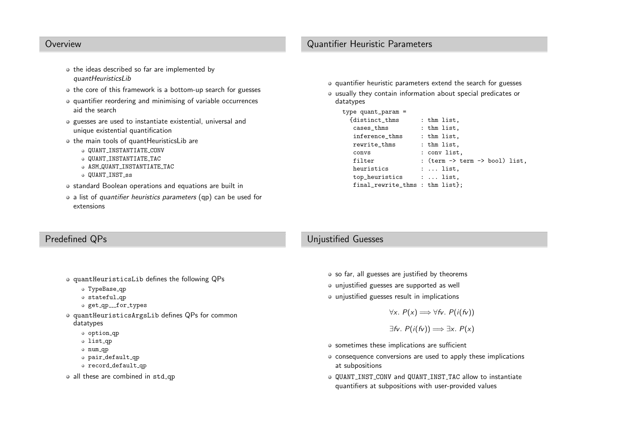#### Overview

- $\bullet$  the ideas described so far are implemented by quantHeuristicsLib
- the core of this framework is a bottom-up search for guesses
- quantifier reordering and minimising of variable occurrencesaid the search
- guesses are used to instantiate existential, universal andunique existential quantification
- the main tools of quantHeuristicsLib are
	- QUANT INSTANTIATE CONV
	- QUANT INSTANTIATE TAC
	- ASM QUANT INSTANTIATE TAC
	- QUANT\_INST\_ss
- standard Boolean operations and equations are built in
- <sup>a</sup> list of quantifier heuristics parameters (qp) can be used for extensions
- quantifier heuristic parameters extend the search for guesses
- usually they contain information about special predicates ordatatypes

type quant\_param <sup>=</sup>

| {distinct_thms                  | : thm list,                                          |
|---------------------------------|------------------------------------------------------|
| cases_thms                      | : thm list,                                          |
| inference_thms                  | : thm list,                                          |
| rewrite_thms                    | : thm list,                                          |
| convs                           | : conv list,                                         |
| filter                          | : (term $\rightarrow$ term $\rightarrow$ bool) list, |
| heuristics                      | $: $ list.                                           |
| top_heuristics                  | :  list.                                             |
| final_rewrite_thms : thm list}; |                                                      |
|                                 |                                                      |

#### Predefined QPs

- quantHeuristicsLib defines the following QPs
	- ${\tt TypeBase\_qp}$
	- stateful qp
	- ${\tt get\_qp\_\_for\_types}$
- quantHeuristicsArgsLib defines QPs for common datatypes
	- option qp
	- list qp
	- num qp
	- pair default qp
	- record default qp
- all these are combined in  $\mathop{\mathrm{std}}\nolimits_\mathsf{q}$

#### Unjustified Guesses

- $\circ$  so far, all guesses are justified by theorems
- unjustified guesses are supported as well
- unjustified guesses result in implications

 $\forall x. P(x) \Longrightarrow \forall f v. P(i(fv))$ 

#### $\exists$ fv.  $P(i(fv)) \Longrightarrow \exists x. P(x)$

- sometimes these implications are sufficient
- consequence conversions are used to apply these implications at subpositions
- QUANT INST CONV and QUANT INST TAC allow to instantiate quantifiers at subpositions with user-provided values

## Quantifier Heuristic Parameters